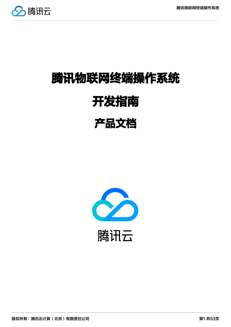

# 腾讯物联网终端操作系统 开发指南

## 产品文档

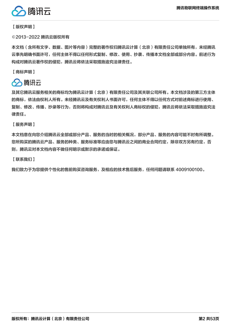

【版权声明】

©2013-2022 腾讯云版权所有

本文档(含所有文字、数据、图片等内容)完整的著作权归腾讯云计算(北京)有限责任公司单独所有,未经腾讯 云事先明确书面许可,任何主体不得以任何形式复制、修改、使用、抄袭、传播本文档全部或部分内容。前述行为 构成对腾讯云著作权的侵犯,腾讯云将依法采取措施追究法律责任。

【商标声明】

## 公腾讯云

及其它腾讯云服务相关的商标均为腾讯云计算(北京)有限责任公司及其关联公司所有。本文档涉及的第三方主体 的商标,依法由权利人所有。未经腾讯云及有关权利人书面许可,任何主体不得以任何方式对前述商标进行使用、 复制、修改、传播、抄录等行为,否则将构成对腾讯云及有关权利人商标权的侵犯,腾讯云将依法采取措施追究法 律责任。

【服务声明】

本文档意在向您介绍腾讯云全部或部分产品、服务的当时的相关概况,部分产品、服务的内容可能不时有所调整。 您所购买的腾讯云产品、服务的种类、服务标准等应由您与腾讯云之间的商业合同约定,除非双方另有约定,否 则,腾讯云对本文档内容不做任何明示或默示的承诺或保证。

【联系我们】

我们致力于为您提供个性化的售前购买咨询服务,及相应的技术售后服务,任何问题请联系 4009100100。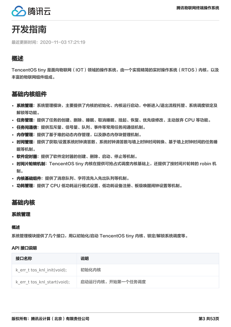

## 开发指南

最近更新时间:2020-11-03 17:21:19

#### 概述

TencentOS tiny 是面向物联网 (IOT) 领域的操作系统, 由一个实现精简的实时操作系统 (RTOS) 内核, 以及 丰富的物联网组件组成。

#### 基础内核组件

- 系统管理、系统管理模块,主要提供了内核的初始化、内核运行启动,中断进入/退出流程托管、系统调度锁定及 解锁等功能。
- 任务管理: 提供了任务的创建、删除、睡眠、取消睡眠、挂起、恢复、优先级修改、主动放弃 CPU 等功能。
- 任务间通信: 提供互斥量、信号量、队列、事件等常用任务间通信机制。
- 内存管理:提供了基于堆的动态内存管理,以及静态内存块管理机制。
- 时间管理: 提供了获取/设置系统时钟滴答数、系统时钟滴答数与墙上时钟时间转换、基于墙上时钟时间的任务睡 眠等机制。
- 软件定时器: 提供了软件定时器的创建、删除、启动、停止等机制。
- 时间片轮转机制: TencentOS tiny 内核在提供可抢占式调度内核基础上,还提供了按时间片轮转的 robin 机 制。
- 内核基础组件:提供了消息队列、字符流先入先出队列等机制。
- 功耗管理: 提供了 CPU 低功耗运行模式设置、低功耗设备注册、板级唤醒闹钟设置等机制。

#### 基础内核

#### 系统管理

#### 概述

系统管理模块提供了几个接口,用以初始化/启动 TencentOS tiny 内核、锁定/解锁系统调度等。

#### API 接口说明

| 接口名称                         | 说明               |
|------------------------------|------------------|
| k err t tos knl init(void);  | 初始化内核            |
| k err t tos knl start(void); | 启动运行内核,开始第一个任务调度 |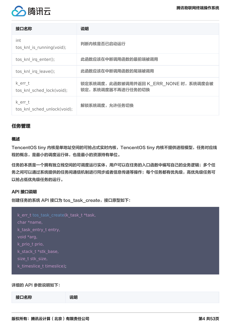

| 接口名称                                   | 说明                                                        |
|----------------------------------------|-----------------------------------------------------------|
| int<br>tos knl is running(void);       | 判断内核是否已启动运行                                               |
| tos knl irq enter();                   | 此函数应该在中断调用函数的最前端被调用                                       |
| tos knl irq leave();                   | 此函数应该在中断调用函数的尾端被调用                                        |
| k err t<br>tos knl sched lock(void);   | 锁定系统调度,此函数被调用并返回 K_ERR_NONE 时,系统调度会被<br>锁定,系统调度器不再进行任务的切换 |
| k err t<br>tos knl sched unlock(void); | 解锁系统调度,允许任务切换                                             |

#### 任务管理

#### 概述

TencentOS tiny 内核是单地址空间的可抢占式实时内核, TencentOS tiny 内核不提供进程模型, 任务对应线 程的概念,是最小的调度运行体,也是最小的资源持有单位。

任务的本质是一个拥有独立栈空间的可调度运行实体,用户可以在任务的入口函数中编写自己的业务逻辑;多个任 务之间可以通过系统提供的任务间通信机制进行同步或者信息传递等操作;每个任务都有优先级,高优先级任务可 以抢占低优先级任务的运行。

#### API 接口说明

创建任务的系统 API 接口为 tos\_task\_create,接口原型如下:

| k_err_t tos_task_create(k_task_t *task, |  |
|-----------------------------------------|--|
| char *name,                             |  |
| k_task_entry_t entry,                   |  |
| void *arg,                              |  |
| k prio t prio,                          |  |
| k stack t *stk base,                    |  |
| size t stk size,                        |  |
| k timeslice t timeslice);               |  |

#### 详细的 API 参数说明如下:

| 接口名称 | 说明 |
|------|----|
|      |    |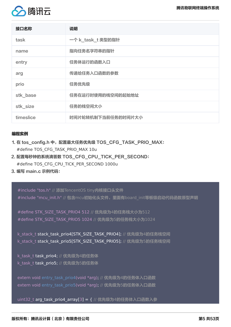

| 接口名称      | 说明                 |
|-----------|--------------------|
| task      | 一个 k_task_t 类型的指针  |
| name      | 指向任务名字符串的指针        |
| entry     | 任务体运行的函数入口         |
| arg       | 传递给任务入口函数的参数       |
| prio      | 任务优先级              |
| stk_base  | 任务在运行时使用的栈空间的起始地址  |
| stk_size  | 任务的栈空间大小           |
| timeslice | 时间片轮转机制下当前任务的时间片大小 |

#### 编程实例

- 1. 在 tos\_config.h 中,配置最大任务优先级 TOS\_CFG\_TASK\_PRIO\_MAX: #define TOS\_CFG\_TASK\_PRIO\_MAX 10u
- 2. 配置每秒钟的系统滴答数 TOS\_CFG\_CPU\_TICK\_PER\_SECOND: #define TOS\_CFG\_CPU\_TICK\_PER\_SECOND 1000u
- 3. 编写 main.c 示例代码:

#include "tos.h" // 添加TencentOS tiny内核接口头文件 #include "mcu\_init.h" // 包含mcu初始化头文件, 里面有board\_init等板级启动代码函数原型声明

#define STK SIZE TASK PRIO4 512 // 优先级为4的任务栈大小为512 #define STK\_SIZE\_TASK\_PRIO5 1024 // 优先级为5的任务栈大小为1024

k stack t stack task prio4[STK SIZE TASK PRIO4]; // 优先级为4的任务栈空间 k\_stack\_t stack\_task\_prio5[STK\_SIZE\_TASK\_PRIO5]; // 优先级为5的任务栈空间

k\_task\_t task\_prio4; // 优先级为4的任务体 k task t task prio5; // 优先级为5的任务体

extern void entry\_task\_prio4(void \*arg); // 优先级为4的任务体入口函数 extern void entry task\_prio5(void \*arg); // 优先级为5的任务体入口函数

uint32\_t arg\_task\_prio4\_array[3] = { // 优先级为4的任务体入口函数入参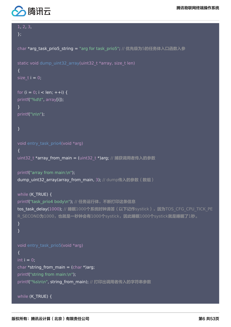

```
1, 2, 3,
};
char *arg_task_prio5_string = "arg for task_prio5"; // 优先级为5的任务体入口函数入参
static void dump_uint32_array(uint32_t *array, size_t len)
{
size t i = 0;
for (i = 0; i < len; ++i) {
printf("%d\t", array[i]);
}
printf("\n\n");
}
void entry task prio4(void *arg)
{
uint32 t *array from main = (uint32 t *)arg; // 捕获调用者传入的参数
printf("array from main:\n");
dump_uint32_array(array_from_main, 3); // dump传入的参数(数组)
while (K_TRUE) {
printf("task_prio4 body\n"); // 任务运行体, 不断打印这条信息
tos task delay(1000); // 睡眠1000个系统时钟滴答(以下记作systick), 因为TOS CFG CPU TICK PE
R_SECOND为1000,也就是一秒钟会有1000个systick,因此睡眠1000个systick就是睡眠了1秒。
}
}
void entry task prio5(void *arg)
{
int i = 0;
char *string_from_main = (char *)arg;printf("string from main:\n");
printf("%s\n\n", string_from_main); // 打印出调用者传入的字符串参数
while (K_TRUE) {
```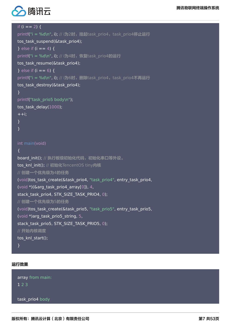

#### if  $(i == 2)$  {

printf("i = %d\n", i); // i为2时, 挂起task\_prio4, task\_prio4停止运行

```
tos task suspend(&task prio4);
```
} else if  $(i == 4)$  {

printf("i = %d\n", i); // i为4时, 恢复task\_prio4的运行

tos task resume(&task prio4);

```
\} else if (i == 6) {
```
printf(" $i = %d\{n\}$ , i); // i为6时, 删除task\_prio4, task\_prio4不再运行

```
tos_task_destroy(&task_prio4);
```

```
}
```

```
printf("task_prio5 body\n");
tos task delay(1000);
++i:
```
}

}

int main(void)

```
{
board_init(); // 执行板级初始化代码, 初始化串口等外设。
tos knl init(); // 初始化TencentOS tiny内核
// 创建一个优先级为4的任务
(void)tos task create(&task prio4, "task prio4", entry task prio4,
(void *)(\&arg_task_prio4_array[0]), 4,
stack task prio4, STK SIZE TASK PRIO4, 0);
// 创建一个优先级为5的任务
(void)tos_task_create(&task_prio5, "task_prio5", entry_task_prio5,
(void *)arg_task_prio5_string, 5,
stack_task_prio5, STK_SIZE_TASK_PRIO5, 0);
// 开始内核调度
tos knl start();
```
}

#### 运行效果

array from main: 1 2 3

task prio4 body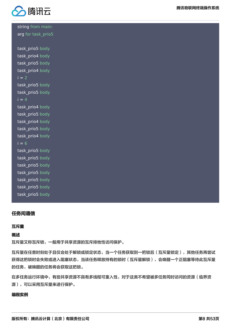

string from main: arg for task\_prio5 task\_prio5 body task prio4 body task prio5 body task prio4 body  $i = 2$ task\_prio5 body task prio5 body  $i = 4$ task prio4 body task prio5 body task prio4 body task\_prio5 body task prio4 body  $i = 6$ task prio5 body task prio5 body task prio5 body task prio5 body task prio5 body task prio5 body task prio5 body

#### 任务间通信

#### 互斥量

#### 概述

互斥量又称互斥锁,一般用于共享资源的互斥排他性访问保护。

互斥量在任意时刻处于且仅会处于解锁或锁定状态,当一个任务获取到一把锁后(互斥量锁定),其他任务再尝试 获得这把锁时会失败或进入阻塞状态,当该任务释放持有的锁时(互斥量解锁),会唤醒一个正阻塞等待此互斥量 的任务,被唤醒的任务将会获取这把锁。

在多任务运行环境中,有些共享资源不具有多线程可重入性,对于这类不希望被多任务同时访问的资源(临界资 源),可以采用互斥量来进行保护。

#### 编程实例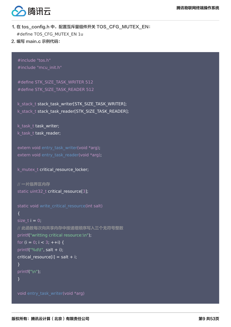

### 1. 在 tos\_config.h 中,配置互斥量组件开关 TOS\_CFG\_MUTEX\_EN: #define TOS\_CFG\_MUTEX\_EN 1u

2. 编写 main.c 示例代码:

#include "tos.h" #include "mcu\_init.h"

#define STK\_SIZE\_TASK\_WRITER 512 #define STK\_SIZE\_TASK\_READER 512

k stack t stack task writer[STK\_SIZE\_TASK\_WRITER]; k\_stack\_t stack\_task\_reader[STK\_SIZE\_TASK\_READER];

k task t task writer; k\_task\_t task\_reader;

extern void entry task writer(void \*arg); extern void entry task reader(void \*arg);

k mutex t critical resource locker;

```
// 一片临界区内存
static uint32_t critical_resource[3];
```

```
static void write critical resource(int salt)
{
size t i = 0;
// 此函数每次向共享内存中按递增顺序写入三个无符号整数
printf("writting critical resource:\n");
for (i = 0; i < 3; ++i) {
printf("%d\t", salt + i);
critical resource[i] = salt + i;
}
printf("\n");
}
```
void entry\_task\_writer(void \*arg)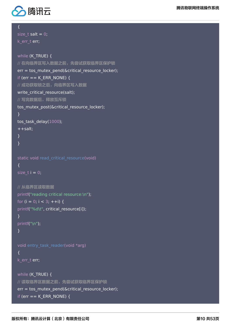

```
{
size t salt = 0;
k err t err;
while (K_TRUE) {
// 在向临界区写入数据之前,先尝试获取临界区保护锁
err = tos_mutex_pend(&critical_resource_locker);
if (err == K_{ERR} NONE) {
// 成功获取锁之后,向临界区写入数据
write critical resource(salt);
// 写完数据后,释放互斥锁
tos mutex post(&critical resource locker);
}
tos task delay(1000);
++salt:}
}
static void read critical resource(void)
{
size t i = 0;
// 从临界区读取数据
printf("reading critical resource:\n");
for (i = 0; i < 3; ++i) {
printf("%d\t", critical_resource[i]);
}
printf("\n");
}
void entry task reader(void *arg)
{
k_err_t err;
while (K_TRUE) {
// 读取临界区数据之前,先尝试获取临界区保护锁
err = tos_mutex_pend(&critical_resource_locker);
if (err == K ERR NONE) {
```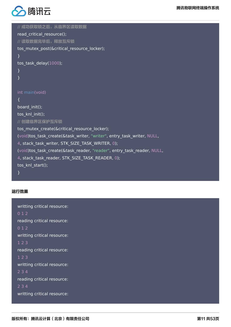

```
// 成功获取锁之后,从临界区读取数据
read critical resource();
// 读取数据完毕后,释放互斥锁
tos_mutex_post(&critical_resource_locker);
}
tos task delay(1000);
}
}
int main(void)
{
board init();
tos knl init();
// 创建临界区保护互斥锁
tos mutex create(&critical resource locker);
(void)tos_task_create(&task_writer, "writer", entry_task_writer, NULL,
4, stack_task_writer, STK_SIZE_TASK_WRITER, 0);
(void)tos task create(&task reader, "reader", entry task reader, NULL,
4, stack_task_reader, STK_SIZE_TASK_READER, 0);
tos knl start();
}
```
#### 运行效果

```
writting critical resource:
0 1 2
reading critical resource:
0 1 2
writting critical resource:
1 2 3
reading critical resource:
1 2 3
writting critical resource:
2 3 4
reading critical resource:
2 3 4
writting critical resource:
```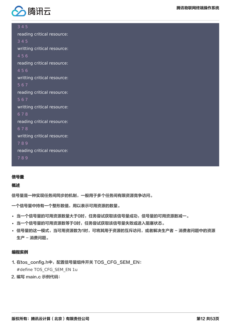

3 4 5

reading critical resource: 3 4 5 writting critical resource: 4 5 6 reading critical resource: 4 5 6 writting critical resource: 5 6 7 reading critical resource: 5 6 7 writting critical resource: 6 7 8 reading critical resource: 6 7 8 writting critical resource: 7 8 9 reading critical resource: 7 8 9

#### 信号量

#### 概述

信号量是一种实现任务间同步的机制,一般用于多个任务间有限资源竞争访问。

一个信号量中持有一个整形数值,用以表示可用资源的数量。

- 当一个信号量的可用资源数量大于0时,任务尝试获取该信号量成功,信号量的可用资源数减一。
- 当一个信号量的可用资源数等于0时,任务尝试获取该信号量失败或进入阻塞状态。
- 信号量的这一模式,当可用资源数为1时,可将其用于资源的互斥访问,或者解决生产者 消费者问题中的资源 生产 - 消费问题。

#### 编程实例

- 1. 在tos\_config.h中, 配置信号量组件开关 TOS\_CFG\_SEM\_EN: #define TOS\_CFG\_SEM\_EN 1u
- 2. 编写 main.c 示例代码: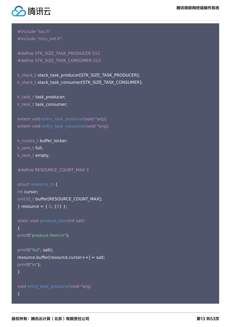



#include "tos.h" #include "mcu\_init.h"

#define STK\_SIZE\_TASK\_PRODUCER 512 #define STK\_SIZE\_TASK\_CONSUMER 512

k\_stack\_t stack\_task\_producer[STK\_SIZE\_TASK\_PRODUCER]; k\_stack\_t stack\_task\_consumer[STK\_SIZE\_TASK\_CONSUMER];

k task t task producer; k task t task consumer;

extern void entry task producer(void \*arg); extern void entry task consumer(void \*arg);

k mutex t buffer locker; k\_sem\_t full; k\_sem\_t empty;

```
#define RESOURCE_COUNT_MAX 3
```

```
struct resource st {
int cursor;
uint32_t buffer[RESOURCE_COUNT_MAX];
} resource = \{ 0, \{0\} \};
```

```
static void produce_item(int salt)
{
printf("produce item:\n");
```

```
printf("%d", salt);
resource.buffer[resource.cursort+] = salt;printf("\n");
}
```

```
void entry task producer(void *arg)
{
```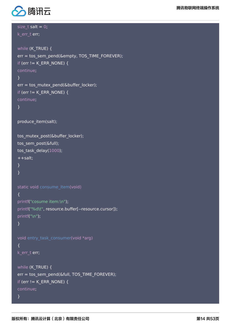

```
size t salt = 0;
k_err_t err;
while (K_TRUE) {
err = tos_sem_pend(&empty, TOS_TIME_FOREVER);
if (err != K_ERR_NONE) {
continue;
}
err = tos_mutex_pend(&buffer_locker);
if (err := K_ERR_NOWE)continue;
}
produce item(salt);
tos_mutex_post(&buffer_locker);
tos sem post(&full);
tos task delay(1000);
++salt:}
}
static void consume_item(void)
{
printf("cosume item:\n");
printf("%d\t", resource.buffer[--resource.cursor]);
printf("\n");
}
void entry_task_consumer(void *arg)
{
k_err_t err;
while (K_TRUE) {
err = tos_sem_pend(&full, TOS_TIME_FOREVER);
if (err != K_ERR_NONE) {
continue;
}
```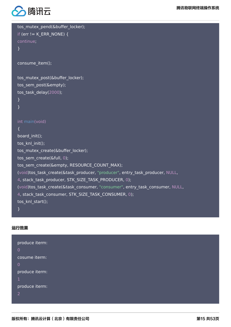

```
tos_mutex_pend(&buffer_locker);
if (err != K_ERR_NONE) {
continue;
}
consume_item();
tos_mutex_post(&buffer_locker);
tos_sem_post(&empty);
tos_task_delay(2000);
}
}
int main(void)
{
board init();
tos knl init();
tos mutex create(&buffer locker);
tos sem create(&full, 0);
tos sem create(&empty, RESOURCE COUNT MAX);
(void)tos_task_create(&task_producer, "producer", entry_task_producer, NULL,
4, stack_task_producer, STK_SIZE_TASK_PRODUCER, 0);
(void)tos_task_create(&task_consumer, "consumer", entry_task_consumer, NULL,
4, stack_task_consumer, STK_SIZE_TASK_CONSUMER, 0);
tos knl start();
}
```
运行效果

| produce iterm: |  |  |  |
|----------------|--|--|--|
| $\mathbf 0$    |  |  |  |
| cosume iterm:  |  |  |  |
| $\mathbf 0$    |  |  |  |
| produce iterm: |  |  |  |
| 1              |  |  |  |
| produce iterm: |  |  |  |
| $\overline{2}$ |  |  |  |
|                |  |  |  |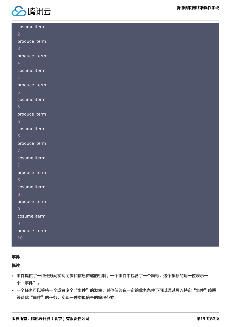

腾讯物联网终端操作系统

| cosume iterm:  |  |  |  |
|----------------|--|--|--|
| $\overline{2}$ |  |  |  |
| produce iterm: |  |  |  |
| 3              |  |  |  |
| produce iterm: |  |  |  |
| $\overline{4}$ |  |  |  |
| cosume iterm:  |  |  |  |
| $\overline{4}$ |  |  |  |
| produce iterm: |  |  |  |
| $\overline{5}$ |  |  |  |
| cosume iterm:  |  |  |  |
| 5              |  |  |  |
| produce iterm: |  |  |  |
| $6\phantom{1}$ |  |  |  |
| cosume iterm:  |  |  |  |
| $6\phantom{1}$ |  |  |  |
| produce iterm: |  |  |  |
| 7              |  |  |  |
| cosume iterm:  |  |  |  |
| 7              |  |  |  |
| produce iterm: |  |  |  |
| $\, 8$         |  |  |  |
| cosume iterm:  |  |  |  |
| 8              |  |  |  |
| produce iterm: |  |  |  |
| 9 <sup>°</sup> |  |  |  |
| cosume iterm:  |  |  |  |
| 9 <sup>°</sup> |  |  |  |
| produce iterm: |  |  |  |
| $10\,$         |  |  |  |

#### 事件

#### 概述

- 事件提供了一种任务间实现同步和信息传递的机制。一个事件中包含了一个旗标,这个旗标的每一位表示一 个"事件"。
- 一个任务可以等待一个或者多个"事件"的发生,其他任务在一定的业务条件下可以通过写入特定"事件"唤醒 等待此"事件"的任务,实现一种类似信号的编程范式。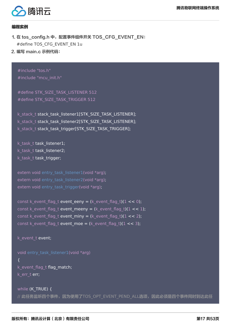

#### 编程实例

- 1. 在 tos\_config.h 中, 配置事件组件开关 TOS\_CFG\_EVENT\_EN: #define TOS\_CFG\_EVENT\_EN 1u
- 2. 编写 main.c 示例代码:

#include "tos.h" #include "mcu\_init.h"

#define STK\_SIZE\_TASK\_LISTENER 512 #define STK\_SIZE\_TASK\_TRIGGER 512

k stack t stack task listener1[STK\_SIZE\_TASK\_LISTENER]; k stack t stack task listener2[STK\_SIZE\_TASK\_LISTENER]; k stack t stack task trigger[STK\_SIZE\_TASK\_TRIGGER];

k task t task listener1; k task t task listener2; k task t task trigger;

extern void entry task listener1(void \*arg); extern void entry task listener2(void \*arg); extern void entry task trigger(void \*arg);

const k event flag t event eeny = (k event flag t)(1 << 0); const k\_event\_flag\_t event\_meeny =  $(k$ \_event\_flag\_t $)(1 < 1)$ ; const k event flag t event miny = (k event flag t)(1 << 2); const k event flag t event moe = (k event flag t)(1 << 3);

#### k event t event;

void entry task listener1(void \*arg) { k\_event\_flag\_t flag\_match; k err t err;

while (K\_TRUE) { // 此任务监听四个事件,因为使用了TOS\_OPT\_EVENT\_PEND\_ALL选项,因此必须是四个事件同时到达此任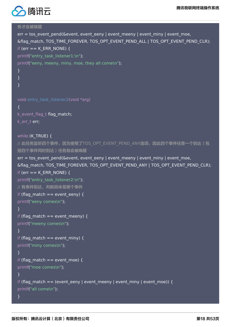

```
务才会被唤醒
err = tos_event_pend(&event, event_eeny | event_meeny | event_miny | event_moe,
&flag_match, TOS_TIME_FOREVER, TOS_OPT_EVENT_PEND_ALL | TOS_OPT_EVENT_PEND_CLR);
if (err == K_ERR_NONE) {
printf("entry_task_listener1:\n");
printf("eeny, meeny, miny, moe, they all come\n");
}
}
}
void entry task listener2(void *arg)
{
k event flag t flag match;
k err t err;
while (K_TRUE) {
// 此任务监听四个事件, 因为使用了TOS_OPT_EVENT_PEND_ANY选项, 因此四个事件任意一个到达(包
括四个事件同时到达)任务就会被唤醒
err = tos event pend(&event, event eeny | event meeny | event miny | event moe,
&flag_match, TOS_TIME_FOREVER, TOS_OPT_EVENT_PEND_ANY | TOS_OPT_EVENT_PEND_CLR);
if (err == K_ERR_NONE) {
printf("entry task listener2:\n");
// 有事件到达,判断具体是哪个事件
if (flag match == event eeny) {
printf("eeny comes\n");
}
if (flag match == event meeny) {
printf("meeny comes\n"); 
}
if (flag match == event miny) {
printf("miny comes\n");
}
if (flag match == event moe) {
printf("moe comes\n");
}
if (flag_match == (event_eeny | event_meeny | event_miny | event_moe)) {
printf("all come\n");
}
```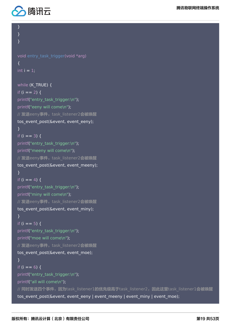

#### } }

}

```
void entry_task_trigger(void *arg)
{
int i = 1;
```

```
while (K_TRUE) {
if (i == 2) {
printf("entry_task_trigger:\n");
printf("eeny will come\n");
// 发送eeny事件, task listener2会被唤醒
tos_event_post(&event, event_eeny);
}
if (i == 3) {
printf("entry_task_trigger:\n");
printf("meeny will come\n");
// 发送eeny事件, task listener2会被唤醒
tos_event_post(&event, event_meeny);
}
if (i == 4) {
printf("entry task trigger:\n");
printf("miny will come\n");
// 发送eeny事件, task listener2会被唤醒
tos event post(&event, event miny);
}
if (i == 5) {
printf("entry_task_trigger:\n");
printf("moe will come\n");
// 发送eeny事件, task listener2会被唤醒
tos event post(&event, event moe);
}
if (i == 6) {
printf("entry_task_trigger:\n");
printf("all will come\n");
// 同时发送四个事件, 因为task_listener1的优先级高于task_listener2, 因此这里task_listener1会被唤醒
```
tos\_event\_post(&event, event\_eeny | event\_meeny | event\_miny | event\_moe);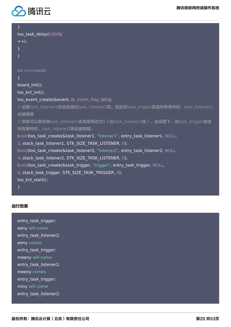

} tos task delay( $1000$ );  $++i$ : } } int main(void)  $\left\{ \right.$ board init(); tos knl init(); tos event create(&event, (k event flag t)0u); // 这里task listener1的优先级比task listener2高, 因此在task trigger发送所有事件时, task listener1 会被唤醒 // 读者可以尝试将task\_listener1优先级修改为5(比task\_listener2低), 此设置下, 在task\_trigger发送 所有事件时, task listener2将会被唤醒。 (void)tos\_task\_create(&task\_listener1, "listener1", entry\_task\_listener1, NULL, 3, stack\_task\_listener1, STK\_SIZE\_TASK\_LISTENER, 0); (void)tos\_task\_create(&task\_listener2, "listener2", entry\_task\_listener2, NULL, 4, stack\_task\_listener2, STK\_SIZE\_TASK\_LISTENER, 0); (void)tos\_task\_create(&task\_trigger, "trigger", entry\_task\_trigger, NULL, 4, stack\_task\_trigger, STK\_SIZE\_TASK\_TRIGGER, 0); tos knl start(); }

#### 运行效果

entry\_task\_trigger: eeny will come entry task listener2: eeny comes entry task trigger: meeny will come entry\_task\_listener2: meeny comes entry task trigger: miny will come entry task listener2: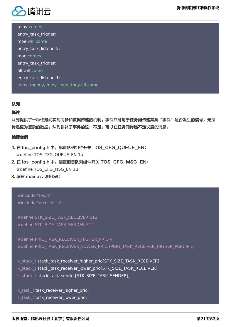

miny comes entry\_task\_trigger: moe will come entry task listener2: moe comes entry task trigger: all will come entry task listener1: eeny, meeny, miny, moe, they all come

#### 队列

#### 概述

队列提供了一种任务间实现同步和数据传递的机制。事件只能用于任务间传递某类"事件"是否发生的信号,无法 传递更为复杂的数据,队列弥补了事件的这一不足,可以在任务间传递不定长度的消息。

#### 编程实例

- 1. 在 tos\_config.h 中,配置队列组件开关 TOS\_CFG\_OUEUE\_EN: #define TOS CFG QUEUE EN 1u
- 2. 在 tos\_config.h 中,配置消息队列组件开关 TOS\_CFG\_MSG\_EN: #define TOS\_CFG\_MSG\_EN 1u
- 3. 编写 main.c 示例代码:

#include "tos.h" #include "mcu\_init.h"

```
#define STK_SIZE_TASK_RECEIVER 512
#define STK_SIZE_TASK_SENDER 512
```
#define PRIO\_TASK\_RECEIVER\_HIGHER\_PRIO 4 #define PRIO TASK RECEIVER LOWER PRIO (PRIO TASK RECEIVER HIGHER PRIO + 1)

k stack t stack task receiver higher prio[STK\_SIZE\_TASK\_RECEIVER]; k\_stack\_t stack\_task\_receiver\_lower\_prio[STK\_SIZE\_TASK\_RECEIVER]; k\_stack\_t stack\_task\_sender[STK\_SIZE\_TASK\_SENDER];

k\_task\_t task\_receiver\_higher\_prio; k\_task\_t task\_receiver\_lower\_prio;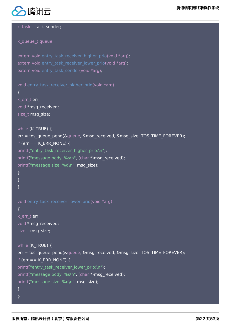

k task t task sender;

k queue t queue;

```
extern void entry_task_receiver_higher_prio(void *arg);
extern void entry task receiver lower prio(void *arg);
extern void entry task sender(void *arg);
```

```
void entry_task_receiver_higher_prio(void *arg)
\left\{ \right.k err t err;
```
void \*msg\_received; size t msg\_size;

```
while (K TRUE) {
err = tos_queue_pend(&queue, &msg_received, &msg_size, TOS_TIME_FOREVER);
if (err == K_ERR_NONE) {
printf("entry_task_receiver_higher_prio:\n");
printf("message body: %s\n", (char *)msg_received);
printf("message size: %d\n", msg_size);
}
}
}
```

```
void entry task receiver lower prio(void *arg)
{
k err t err;
void *msg_received;
```

```
size_t msg_size;
```

```
while (K TRUE) {
err = tos_queue_pend(&queue, &msg_received, &msg_size, TOS_TIME_FOREVER);
if (err == K ERR NONE) {
printf("entry_task_receiver_lower_prio:\n");
printf("message body: %s\n", (char *)msg_received);
printf("message size: %d\n", msg_size);
}
}
```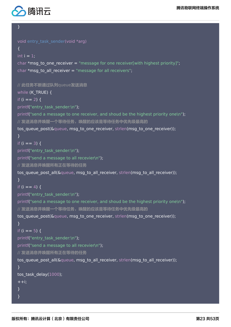

#### }

```
void entry task sender(void *arg)
{
int i = 1:
char *msg to one receiver = "message for one receiver[with highest priority]";
char *msg to all receiver = "message for all receivers";
// 此任务不断通过队列queue发送消息
while (K_TRUE) {
if (i == 2) {
printf("entry task sender:\n");
printf("send a message to one receiver, and shoud be the highest priority one\n");
// 发送消息并唤醒一个等待任务,唤醒的应该是等待任务中优先级最高的
tos queue post(&queue, msg_to_one_receiver, strlen(msg_to_one_receiver));
}
if (i == 3) {
printf("entry_task_sender:\n");
printf("send a message to all recevier\n");
// 发送消息并唤醒所有正在等待的任务
tos queue post all(&queue, msg to all receiver, strlen(msg to all receiver));
}
if (i == 4) {
printf("entry task sender:\n");
printf("send a message to one receiver, and shoud be the highest priority one\n");
// 发送消息并唤醒一个等待任务,唤醒的应该是等待任务中优先级最高的
tos queue post(&queue, msg_to_one_receiver, strlen(msg_to_one_receiver));
}
if (i == 5) {
printf("entry task sender:\n");
printf("send a message to all recevier\n");
// 发送消息并唤醒所有正在等待的任务
tos_queue_post_all(&queue, msg_to_all_receiver, strlen(msg_to_all_receiver));
}
tos task delay(1000);
++i;}
}
```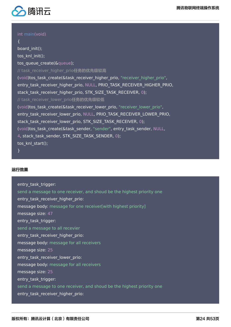

#### int main(void)

{ board init(); tos knl init(); tos queue create(&queue); // task\_receiver\_higher\_prio任务的优先级较高 (void)tos\_task\_create(&task\_receiver\_higher\_prio, "receiver\_higher\_prio", entry task receiver higher prio, NULL, PRIO TASK RECEIVER HIGHER PRIO, stack task receiver higher prio, STK SIZE TASK RECEIVER, 0); // task\_receiver\_lower\_prio任务的优先级较低 (void)tos task create(&task receiver lower prio, "receiver lower prio", entry task receiver lower prio, NULL, PRIO TASK RECEIVER LOWER PRIO, stack\_task\_receiver\_lower\_prio, STK\_SIZE\_TASK\_RECEIVER, 0); (void)tos\_task\_create(&task\_sender, "sender", entry\_task\_sender, NULL, 4, stack\_task\_sender, STK\_SIZE\_TASK\_SENDER, 0); tos knl start();

}

#### 运行效果

entry task trigger: send a message to one receiver, and shoud be the highest priority one entry task receiver higher prio: message body: message for one receiver[with highest priority] message size: 47 entry task trigger: send a message to all recevier entry task receiver higher prio: message body: message for all receivers message size: 25 entry task receiver lower prio: message body: message for all receivers message size: 25 entry task trigger: send a message to one receiver, and shoud be the highest priority one entry task receiver higher prio: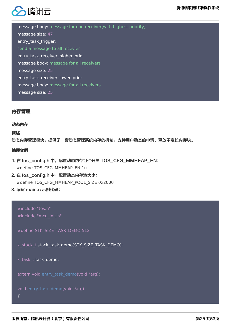

message body: message for one receiver[with highest priority] message size: 47 entry task trigger: send a message to all recevier entry\_task\_receiver\_higher\_prio: message body: message for all receivers message size: 25 entry\_task\_receiver\_lower\_prio: message body: message for all receivers message size: 25

#### 内存管理

#### 动态内存

#### 概述

动态内存管理模块,提供了一套动态管理系统内存的机制,支持用户动态的申请、释放不定长内存块。

#### 编程实例

- 1. 在 tos\_config.h 中,配置动态内存组件开关 TOS\_CFG\_MMHEAP\_EN: #define TOS CFG MMHEAP EN 1u
- 2. 在 tos\_config.h 中,配置动态内存池大小: #define TOS\_CFG\_MMHEAP\_POOL\_SIZE 0x2000
- 3. 编写 main.c 示例代码:

#### #include "tos.h" #include "mcu\_init.h"

#define STK\_SIZE\_TASK\_DEMO 512

k\_stack\_t stack\_task\_demo[STK\_SIZE\_TASK\_DEMO];

k\_task\_t task\_demo;

extern void entry\_task\_demo(void \*arg);

void entry\_task\_demo(void \*arg)

#### {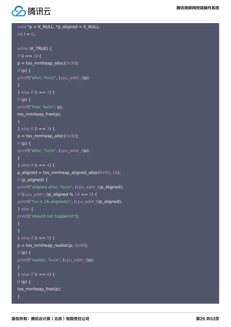

```
void *p = K_NULL, *p_aligned = K_NULL;
int i = 0;
while (K_TRUE) {
if (i == 1) {
p = \text{tos\_mmheap\_alloc}(0 \times 30);if (p) \{printf("alloc: %x\n", (cpu_addr_t)p);
}
} else if (i == 2) {
if (p) {
printf("free: %x\n", p);
tos mmheap free(p);
}
} else if (i == 3) {
p = tos mmheap alloc(0x30);
if (p) {
printf("alloc: %x\n", (cpu_addr_t)p);
} 
} else if (i == 4) {
p aligned = tos mmheap aligned alloc(0x50, 16);
if (p_aligned) {
printf("aligned alloc: %x\n", (cpu_addr_t)p_aligned);
if ((cpu_addr_t)p_aligned % 16 == 0) {
printf("%x is 16 aligned\n", (cpu_addr_t)p_aligned);
} else {
printf("should not happen\n");
}
}
} else if (i == 5) {
p = tos_mmheap_realloc(p, 0x40);
if (p) {
printf("realloc: %x\n", (cpu_addr_t)p);
}
} else if (i == 6) {
if (p) {
tos_mmheap_free(p);
}
```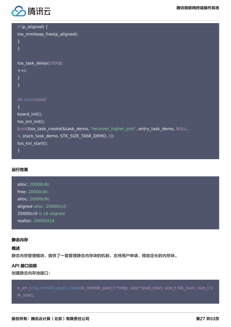

| if (p_aligned) {                                                                 |
|----------------------------------------------------------------------------------|
| tos_mmheap_free(p_aligned);                                                      |
| $\}$                                                                             |
| $\mathcal{E}$                                                                    |
|                                                                                  |
| tos_task_delay(1000);                                                            |
| $++i;$                                                                           |
| $\mathcal{E}$                                                                    |
| $\mathcal{F}$                                                                    |
|                                                                                  |
| int main(void)                                                                   |
| $\{$                                                                             |
| board_init();                                                                    |
| tos_knl_init();                                                                  |
| (void)tos_task_create(&task_demo, "receiver_higher_prio", entry_task_demo, NULL, |
| 4, stack_task_demo, STK_SIZE_TASK_DEMO, 0);                                      |
| tos_knl_start();                                                                 |
| $\mathcal{F}$                                                                    |

#### 运行效果

alloc: 20000c8c free: 20000c8c alloc: 20000c8c aligned alloc: 20000cc0 20000cc0 is 16 aligned realloc: 20000d14

#### 静态内存

#### 概述

静态内存管理模块,提供了一套管理静态内存块的机制,支持用户申请、释放定长的内存块。

#### API 接口说明

创建静态内存池接口:

k\_err\_t tos\_mmblk\_pool\_create(k\_mmblk\_pool\_t \*mbp, void \*pool\_start, size\_t blk\_num, size\_t b lk\_size);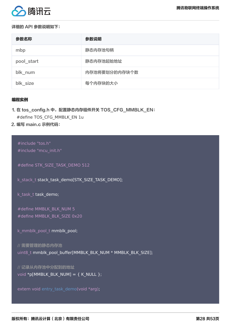

#### 详细的 API 参数说明如下:

| 参数名称       | 参数说明          |
|------------|---------------|
| mbp        | 静态内存池句柄       |
| pool_start | 静态内存池起始地址     |
| blk_num    | 内存池将要划分的内存块个数 |
| blk_size   | 每个内存块的大小      |

#### 编程实例

#### 1. 在 tos\_config.h 中,配置静态内存组件开关 TOS\_CFG\_MMBLK\_EN: #define TOS\_CFG\_MMBLK\_EN 1u

2. 编写 main.c 示例代码:

#include "tos.h" #include "mcu\_init.h"

#define STK\_SIZE\_TASK\_DEMO 512

k\_stack\_t stack\_task\_demo[STK\_SIZE\_TASK\_DEMO];

k\_task\_t task\_demo;

#define MMBLK\_BLK\_NUM 5 #define MMBLK\_BLK\_SIZE 0x20

```
k_mmblk_pool_t mmblk_pool;
```
// 需要管理的静态内存池 uint8\_t mmblk\_pool\_buffer[MMBLK\_BLK\_NUM \* MMBLK\_BLK\_SIZE];

// 记录从内存池中分配到的地址 void  $[pMMBLK_BLK_NUM] = \{ K_MULL \};$ 

extern void entry\_task\_demo(void \*arg);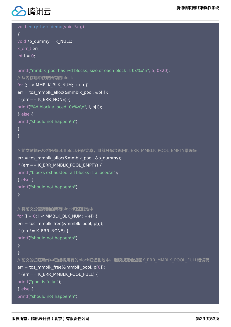

```
void entry task demo(void *arg)
{
```

```
void *p_dummy = K_NULL;
k err t err;
int i = 0;
```

```
printf("mmblk_pool has %d blocks, size of each block is 0x%x\n", 5, 0x20);
// 从内存池中获取所有的block
for (; i < MMBLK BLK NUM; ++i) {
err = tos_mmblk_alloc(&mmblk_pool, &p[i]);
if (err == K_ERR_NONE) {
printf("%d block alloced: 0x%x\n", i, p[i]);
} else {
printf("should not happen\n");
}
}
```

```
// 前文逻辑已经将所有可用block分配完毕,继续分配会返回K ERR_MMBLK_POOL EMPTY错误码
err = tos_mmblk_alloc(&mmblk_pool, &p_dummy);
if (err == K_ERR_MMBLK_POOL_EMPTY) {
printf("blocks exhausted, all blocks is alloced\n");
} else {
printf("should not happen\n");
}
```

```
// 将前文分配得到的所有block归还到池中
for (i = 0; i < MMBLK BLK NUM; ++i) {
err = tos_mmblk_free(&mmblk_pool, p[i]);
if (err != K_ERR_NONE) {
printf("should not happen\n");
}
}
// 前文的归还动作中已经将所有的block归还到池中,继续规范会返回K_ERR_MMBLK_POOL_FULL错误码
err = tos_mmblk_free(&mmblk_pool, p[0]);
if (err == K_ERR_MMBLK_POOL_FULL) {
printf("pool is full\n");
} else {
printf("should not happen\n");
```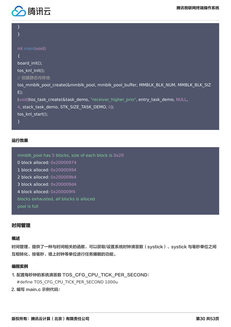

| int main(void)                                                                     |
|------------------------------------------------------------------------------------|
|                                                                                    |
| board_init();                                                                      |
| tos_knl_init();                                                                    |
| // 创建静态内存池                                                                         |
| tos mmblk pool create(&mmblk pool, mmblk pool buffer, MMBLK BLK NUM, MMBLK BLK SIZ |
| $E)$ ;                                                                             |
| (void)tos_task_create(&task_demo, "receiver_higher_prio", entry_task_demo, NULL,   |
| 4, stack_task_demo, STK_SIZE_TASK_DEMO, 0);                                        |
| tos knl start();                                                                   |
|                                                                                    |
|                                                                                    |

#### 运行效果

mmblk\_pool has 5 blocks, size of each block is 0x20

- 0 block alloced: 0x20000974
- 1 block alloced: 0x20000994
- 2 block alloced: 0x200009b4
- 3 block alloced: 0x200009d4
- 4 block alloced: 0x200009f4

blocks exhausted, all blocks is alloced

pool is full

#### 时间管理

#### 概述

时间管理,提供了一种与时间相关的函数,可以获取/设置系统时钟滴答数 (systick) 、systick 与毫秒单位之间 互相转化、按毫秒、墙上时钟等单位进行任务睡眠的功能。

#### 编程实例

- 1. 配置每秒钟的系统滴答数 TOS\_CFG\_CPU\_TICK\_PER\_SECOND: #define TOS\_CFG\_CPU\_TICK\_PER\_SECOND 1000u
- 2. 编写 main.c 示例代码: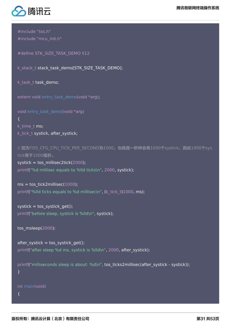



#include "tos.h" #include "mcu\_init.h"

#define STK\_SIZE\_TASK\_DEMO 512

k\_stack\_t stack\_task\_demo[STK\_SIZE\_TASK\_DEMO];

k\_task\_t task\_demo;

extern void entry\_task\_demo(void \*arg);

void entry task demo(void \*arg) { k time t ms; k tick t systick, after systick;

// 因为TOS\_CFG\_CPU\_TICK\_PER\_SECOND为1000, 也就是一秒钟会有1000个systick, 因此1000个sys tick等于1000毫秒。

systick = tos millisec2tick(2000); printf("%d millisec equals to %lld ticks\n", 2000, systick);

 $ms =$  tos\_tick2millisec(1000); printf("%lld ticks equals to %d millisec\n", (k\_tick\_t)1000, ms);

systick = tos systick get(); printf("before sleep, systick is %lld\n", systick);

tos\_msleep(2000);

after\_systick = tos\_systick\_get(); printf("after sleep %d ms, systick is %lld\n", 2000, after systick);

printf("milliseconds sleep is about: %d\n", tos\_ticks2millisec(after\_systick - systick)); }

int main(void) {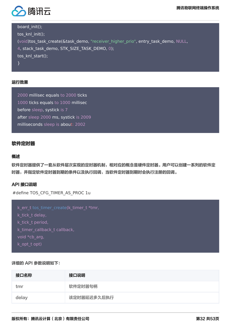

board\_init();

tos\_knl\_init(); (void)tos\_task\_create(&task\_demo, "receiver\_higher\_prio", entry\_task\_demo, NULL, 4, stack\_task\_demo, STK\_SIZE\_TASK\_DEMO, 0); tos\_knl\_start();

}

#### 运行效果

2000 millisec equals to 2000 ticks 1000 ticks equals to 1000 millisec before sleep, systick is 7 after sleep 2000 ms, systick is 2009 milliseconds sleep is about: 2002

#### 软件定时器

#### 概述

软件定时器提供了一套从软件层次实现的定时器机制,相对应的概念是硬件定时器。用户可以创建一系列的软件定 时器,并指定软件定时器到期的条件以及执行回调,当软件定时器到期时会执行注册的回调。

#### API 接口说明

#define TOS\_CFG\_TIMER\_AS\_PROC 1u

```
k_err_t tos_timer_create(k_timer_t *tmr,
k tick t delay,
k_tick_t period,
k timer callback t callback,
void *cb_arg,
k_opt_t opt)
```
#### 详细的 API 参数说明如下:

| 接口名称  | 接口说明        |
|-------|-------------|
| tmr   | 软件定时器句柄     |
| delay | 该定时器延迟多久后执行 |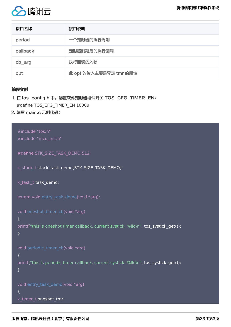

| 接口名称     | 接口说明                   |
|----------|------------------------|
| period   | 一个定时器的执行周期             |
| callback | 定时器到期后的执行回调            |
| cb_arg   | 执行回调的入参                |
| opt      | 此 opt 的传入主要是界定 tmr 的属性 |

#### 编程实例

- 1. 在 tos\_config.h 中, 配置软件定时器组件开关 TOS\_CFG\_TIMER\_EN: #define TOS CFG TIMER EN 1000u
- 2. 编写 main.c 示例代码:

```
#include "tos.h"
#include "mcu_init.h"
#define STK_SIZE_TASK_DEMO 512
k stack t stack task demo[STK_SIZE_TASK_DEMO];
k_task_t task_demo;
extern void entry_task_demo(void *arg);
void oneshot_timer_cb(void *arg)
{
printf("this is oneshot timer callback, current systick: %lld\n", tos_systick_get());
}
void periodic_timer_cb(void *arg)
{
printf("this is periodic timer callback, current systick: %lld\n", tos_systick_get());
}
void entry_task_demo(void *arg)
{
k_timer_t oneshot_tmr;
```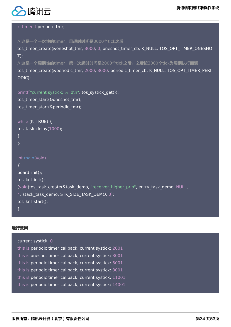

#### k timer t periodic tmr;

```
// 这是一个一次性的timer,且超时时间是3000个tick之后
tos_timer_create(&oneshot_tmr, 3000, 0, oneshot_timer_cb, K_NULL, TOS_OPT_TIMER_ONESHO
T);
// 这是一个周期性的timer,第一次超时时间是2000个tick之后,之后按3000个tick为周期执行回调
tos_timer_create(&periodic_tmr, 2000, 3000, periodic_timer_cb, K_NULL, TOS_OPT_TIMER_PERI
ODIC);
```
printf("current systick: %lld\n", tos\_systick\_get());

tos timer start(&oneshot tmr); tos\_timer\_start(&periodic\_tmr);

```
while (K_TRUE) {
tos task delay(1000);
}
}
int main(void)
{
board init();
tos knl init();
(void)tos task create(&task demo, "receiver higher prio", entry task demo, NULL,
4, stack task demo, STK SIZE TASK DEMO, 0);
tos knl start();
}
```
#### 运行效果

```
current systick: 0
this is periodic timer callback, current systick: 2001
this is oneshot timer callback, current systick: 3001
this is periodic timer callback, current systick: 5001
this is periodic timer callback, current systick: 8001
this is periodic timer callback, current systick: 11001
this is periodic timer callback, current systick: 14001
```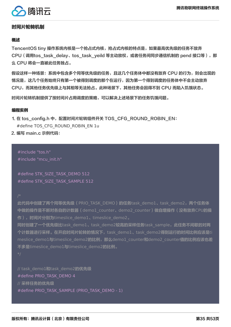

#### 时间片轮转机制

#### 概述

TencentOS tiny 操作系统内核是一个抢占式内核,抢占式内核的特点是,如果最高优先级的任务不放弃 CPU (调用tos\_task\_delay、tos\_task\_yeild 等主动放权,或者任务间同步通信机制的 pend 接口等),那 么 CPU 将会一直被此任务独占。

假设这样一种场景:系统中包含多个同等优先级的任务,且这几个任务体中都没有放弃 CPU 的行为,则会出现的 情况是,这几个任务始终只有第一个被得到调度的那个在运行,因为第一个得到调度的任务体中不会主动放弃 CPU,而其他任务优先级上与其相等无法抢占。此种场景下,其他任务会因得不到 CPU 而陷入饥饿状态。

时间片轮转机制提供了按时间片占用调度的策略,可以解决上述场景下的任务饥饿问题。

#### 编程实例

1. 在 tos\_config.h 中,配置时间片轮转组件开关 TOS\_CFG\_ROUND\_ROBIN\_EN: #define TOS\_CFG\_ROUND\_ROBIN\_EN 1u

2. 编写 main.c 示例代码:

#include "tos.h" #include "mcu\_init.h"

#define STK\_SIZE\_TASK\_DEMO 512 #define STK\_SIZE\_TASK\_SAMPLE 512

此代码中创建了两个同等优先级 (PRIO\_TASK\_DEMO) 的任务task\_demo1、task\_demo2,两个任务体 中做的操作是不断对各自的计数器 (demo1 counter、demo2 counter)做自增操作 (没有放弃CPU的操 作),时间片分别为timeslice\_demo1、timeslice\_demo2。

同时创建了一个优先级比task\_demo1、task\_demo2较高的采样任务task\_sample, 此任务不间歇的对两 个计数器进行采样。在开启时间片轮转的情况下,task\_demo1、task\_demo2得到运行的时间比例应该是ti meslice\_demo1与timeslice\_demo2的比例,那么demo1\_counter和demo2\_counter值的比例应该也差 不多是timeslice\_demo1与timeslice\_demo2的比例。

// task demo1和task demo2的优先级 #define PRIO TASK DEMO 4 // 采样任务的优先级 #define PRIO\_TASK\_SAMPLE (PRIO\_TASK\_DEMO - 1)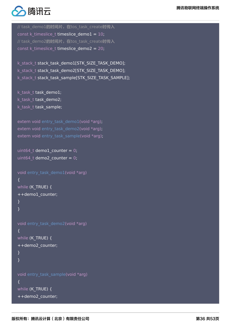

// task\_demo1的时间片, 在tos\_task\_create时传入 const k timeslice t timeslice demo1 =  $10$ ; // task\_demo2的时间片, 在tos\_task\_create时传入 const k\_timeslice\_t timeslice\_demo2 = 20;

k\_stack\_t stack\_task\_demo1[STK\_SIZE\_TASK\_DEMO]; k stack t stack task demo2[STK\_SIZE\_TASK\_DEMO]; k\_stack\_t stack\_task\_sample[STK\_SIZE\_TASK\_SAMPLE];

k task t task demo1; k task t task demo2; k task t task sample;

extern void entry task demo1(void \*arg); extern void entry task demo2(void \*arg); extern void entry task sample(void \*arg);

```
uint64 t demo1 counter = 0;
uint64 t demo2 counter = 0;
```

```
void entry task demo1(void *arg)
{
while (K_TRUE) {
++demo1_counter;
}
}
```

```
void entry task demo2(void *arg)
{
while (K TRUE) {
++demo2_counter;
}
}
```

```
void entry_task_sample(void *arg)
{
while (K_TRUE) {
++demo2_counter;
```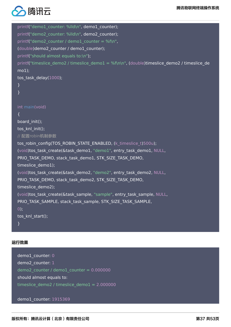

```
printf("demo1_counter: %lld\n", demo1_counter);
printf("demo2_counter: %lld\n", demo2_counter);
printf("demo2_counter / demo1_counter = %f\n",
(double)demo2_counter / demo1_counter);
printf("should almost equals to:\n");
printf("timeslice demo2 / timeslice demo1 = %f\n\n", (double)timeslice demo2 / timeslice de
mo1);
tos_task_delay(1000);
}
}
int main(void)
{
board init();
tos knl init();
// 配置robin机制参数
tos robin_config(TOS_ROBIN_STATE_ENABLED, (k_timeslice_t)500u);
(void)tos_task_create(&task_demo1, "demo1", entry_task_demo1, NULL,
PRIO TASK_DEMO, stack_task_demo1, STK_SIZE_TASK_DEMO,
timeslice_demo1);
(void)tos_task_create(&task_demo2, "demo2", entry_task_demo2, NULL,
PRIO TASK DEMO, stack task demo2, STK SIZE TASK DEMO,
timeslice_demo2);
(void)tos_task_create(&task_sample, "sample", entry_task_sample, NULL,
PRIO_TASK_SAMPLE, stack_task_sample, STK_SIZE_TASK_SAMPLE,
0);
tos knl start();
}
```
#### 运行效果

demo1 counter: 0 demo2\_counter: 1 demo2  $counter / demo1$  counter = 0.000000 should almost equals to: timeslice\_demo2 / timeslice\_demo1 =  $2.000000$ 

demo1\_counter: 1915369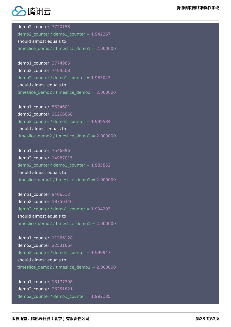

demo2\_counter: 3720158 demo2 counter / demo1 counter =  $1.942267$ should almost equals to: timeslice\_demo2 / timeslice\_demo1 = 2.000000

demo1 counter: 3774985 demo2\_counter: 7493508 demo2 counter / demo1 counter =  $1.985043$ should almost equals to: timeslice demo2 / timeslice demo $1 = 2.000000$ 

demo1\_counter: 5634601 demo2\_counter: 11266858 demo2\_counter / demo1\_counter =  $1.999584$ should almost equals to: timeslice\_demo2 / timeslice\_demo1 =  $2.000000$ 

demo1\_counter: 7546896 demo2\_counter: 14987015 demo2\_counter / demo1\_counter = 1.985852 should almost equals to: timeslice\_demo2 / timeslice\_demo1 = 2.000000

demo1 counter: 9406512 demo2\_counter: 18759340 demo2 counter / demo1 counter =  $1.994293$ should almost equals to: timeslice demo2 / timeslice demo $1 = 2.000000$ 

demo1\_counter: 11266128 demo2\_counter: 22531664 demo2 counter / demo1 counter = 1.999947 should almost equals to: timeslice\_demo2 / timeslice\_demo1 = 2.000000

demo1\_counter: 13177398 demo2\_counter: 26251821 demo2\_counter / demo1\_counter = 1.992185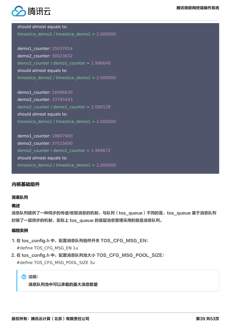

should almost equals to: timeslice demo2 / timeslice demo $1 = 2.000000$ 

demo1\_counter: 15037014 demo2\_counter: 30023632  $demo2_counter / demo1_counter =  $1.996649$$ should almost equals to: timeslice\_demo2 / timeslice\_demo1 = 2.000000

demo1\_counter: 16896630 demo2\_counter: 33795443 demo2 counter / demo1 counter =  $2.000129$ should almost equals to: timeslice\_demo2 / timeslice\_demo1 =  $2.000000$ 

demo1\_counter: 18807900 demo2\_counter: 37515600 demo2 counter / demo1 counter =  $1.994672$ should almost equals to: timeslice\_demo2 / timeslice\_demo1 =  $2.000000$ 

#### 内核基础组件

#### 消息队列

#### 概述

消息队列提供了一种同步的传递/收取消息的机制,与队列(tos\_queue)不同的是,tos\_queue 基于消息队列 封装了一层异步的机制,实际上 tos\_queue 的底层消息管理采用的就是消息队列。

#### 编程实例

- 1. 在 tos\_config.h 中, 配置消息队列组件开关 TOS\_CFG\_MSG\_EN: #define TOS\_CFG\_MSG\_EN 1u
- 2. 在 tos\_config.h 中, 配置消息队列池大小 TOS\_CFG\_MSG\_POOL\_SIZE: #define TOS\_CFG\_MSG\_POOL\_SIZE 3u

(?) 说明:

消息队列池中可以承载的最大消息数量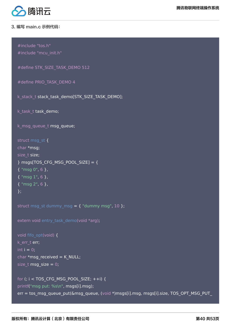

#### 3. 编写 main.c 示例代码:

```
#include "tos.h"
#include "mcu_init.h"
```
#define STK\_SIZE\_TASK\_DEMO 512

```
#define PRIO_TASK_DEMO 4
```
k stack t stack task demo[STK\_SIZE\_TASK\_DEMO];

k\_task\_t task\_demo;

```
k msg queue t msg queue;
```

```
struct msg_st {
```

```
char *msg;
size t size;
} msgs[TOS_CFG_MSG_POOL_SIZE] = {
{ "msg 0", 6 },
{ "msg 1", 6 },
{ "msg 2", 6 },
};
```

```
struct msg_st dummy_msg = \{ "dummy msg", 10 };
```

```
extern void entry_task_demo(void *arg);
```

```
void fifo_opt(void) {
k_err_t err;
int i = 0;
char * msg_received = K_NULL;size_t msg_size = 0;
```

```
for (; i < TOS_CFG_MSG_POOL_SIZE; ++i) {
printf("msg put: %s\n", msgs[i].msg);
err = tos_msg_queue_put(&msg_queue, (void *)msgs[i].msg, msgs[i].size, TOS_OPT_MSG_PUT_
```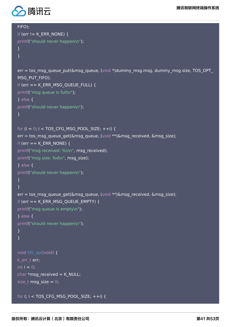

FIFO);

```
if (err != K ERR_NONE) {
printf("should never happen\n");
}
}
err = tos_msg_queue_put(&msg_queue, (void *)dummy_msg.msg, dummy_msg.size, TOS_OPT_
MSG_PUT_FIFO);
if (err == K_ERR_MSG_QUEUE_FULL) {
printf("msg queue is full\n");
} else {
printf("should never happen\n");
}
for (i = 0; i < TOS CFG MSG POOL SIZE; ++i) {
err = tos_msg_queue_get(&msg_queue, (void **)&msg_received, &msg_size);
if (err == K_ERR_NONE) {
printf("msg received: %s\n", msg_received);
printf("msg size: %d\n", msg size);
} else {
printf("should never happen\n");
}
}
err = tos_msg_queue_get(&msg_queue, (void **)&msg_received, &msg_size);
if (err == K_ERR_MSG_QUEUE_EMPTY) {
printf("msg queue is empty\n");
} else {
printf("should never happen\n");
}
}
void lifo_opt(void) {
k err t err;
```

```
int i = 0;
char *msg_received = K_NULL;
size_t msg_size = 0;
```
for (; i < TOS\_CFG\_MSG\_POOL\_SIZE; ++i) {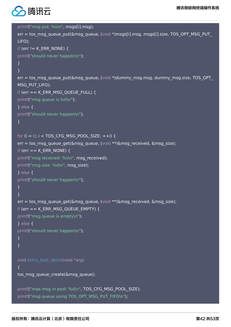

```
printf("msg put: %s\n", msgs[i].msg);
err = tos_msg_queue_put(&msg_queue, (void *)msgs[i].msg, msgs[i].size, TOS_OPT_MSG_PUT_
LIFO);
if (err != K_ERR_NONE) {
printf("should never happen\n");
}
}
err = tos_msg_queue_put(&msg_queue, (void *)dummy_msg.msg, dummy_msg.size, TOS_OPT_
MSG_PUT_LIFO);
if (err == K_ERR_MSG_QUEUE_FULL) {
printf("msg queue is full\n");
} else {
printf("should never happen\n");
}
for (i = 0; i < TOS CFG MSG POOL SIZE; ++i) {
err = tos msg_queue get(&msg_queue, (void **)&msg_received, &msg_size);
if (err == K_ERR_NONE) {
printf("msg received: %s\n", msg received);
printf("msg size: %d\n", msg size);
} else {
printf("should never happen\n");
}
}
err = tos msg queue get(&msg queue, (void **)&msg received, &msg size);
if (err == K_ERR_MSG_QUEUE_EMPTY) {
printf("msg queue is empty\n");
} else {
printf("should never happen\n");
}
}
void entry task demo(void *arg)
{ 
tos msg queue create(&msg queue);
printf("max msg in pool: %d\n", TOS_CFG_MSG_POOL_SIZE);
printf("msg queue using TOS_OPT_MSG_PUT_FIFO\n");
```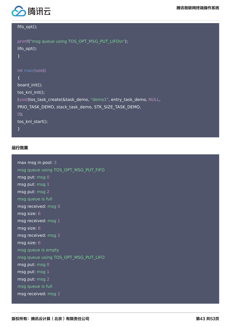



#### fifo\_opt();

```
printf("msg queue using TOS_OPT_MSG_PUT_LIFO\n");
lifo_opt();
}
int main(void)
{
board_init();
tos_knl_init(); 
(void)tos_task_create(&task_demo, "demo1", entry_task_demo, NULL,
PRIO_TASK_DEMO, stack_task_demo, STK_SIZE_TASK_DEMO,
0); 
tos knl start();
}
```
#### 运行效果

| max msg in pool: 3                   |
|--------------------------------------|
| msg queue using TOS_OPT_MSG_PUT_FIFO |
| msg put: msg 0                       |
| msg put: msg 1                       |
| msg put: msg 2                       |
| msg queue is full                    |
| msg received: msg 0                  |
| msg size: 6                          |
| msg received: msg 1                  |
| msg size: 6                          |
| msg received: msg 2                  |
| msg size: 6                          |
| msg queue is empty                   |
| msg queue using TOS_OPT_MSG_PUT_LIFO |
| msg put: msg 0                       |
| msg put: msg 1                       |
| msg put: msg 2                       |
| msg queue is full                    |
| msg received: msg 2                  |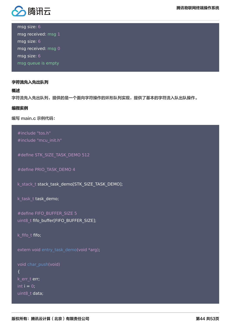

msg size: 6 msg received: msg 1

msg size: 6 msg received: msg 0 msg size: 6 msg queue is empty

#### 字符流先入先出队列

概述

字符流先入先出队列,提供的是一个面向字符操作的环形队列实现,提供了基本的字符流入队出队操作。

#### 编程实例

编写 main.c 示例代码:

```
#include "tos.h"
#include "mcu_init.h"
```
#define STK\_SIZE\_TASK\_DEMO 512

```
#define PRIO TASK DEMO 4
```
k\_stack\_t stack\_task\_demo[STK\_SIZE\_TASK\_DEMO];

k\_task\_t task\_demo;

```
#define FIFO_BUFFER_SIZE 5
uint8_t fifo_buffer[FIFO_BUFFER_SIZE];
```

```
k_fifo_t fifo;
```
extern void entry\_task\_demo(void \*arg);

```
void char_push(void)
{
k_err_t err;
int i = 0;
uint8_t data;
```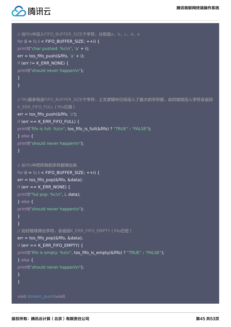

```
// 往fifo中压入FIFO_BUFFER_SIZE个字符, 分别是a、b、c、d、e
for (i = 0; i < FIFO_BUFFER_SIZE; ++i) {
printf("char pushed: %c\n", 'a' + i);
err = tos_ffifo_push(&fifo, 'a' + i);
if (err != K_ERR_NONE) {
printf("should never happen\n");
}
}
// fifo最多包含FIFO_BUFFER_SIZE个字符, 上文逻辑中已经压入了最大的字符量, 此时继续压入字符会返回
K ERR FIFO FULL (fifo已满)
err = tos fifo push(&fifo, 'z');
if (err == K_ERR_FIFO_FULL) {
printf("fifo is full: %s\n", tos fifo is full(&fifo) ? "TRUE" : "FALSE");
} else {
printf("should never happen\n");
}
// 从fifo中把所有的字符都弹出来
for (i = 0; i < FIFO_BUFFER_SIZE; ++i) {
err = tos_fifo_pop(&fifo, &data);
if (err == K_ERR_NONE) {
printf("%d pop: %c\n", i, data);
} else {
printf("should never happen\n");
}
}
// 此时继续弹出字符,会返回K_ERR_FIFO_EMPTY(fifo已空)
err = tos fifo pop(&fifo, &data);
if (err == K_ERR_FIFO_EMPTY) {
printf("fifo is empty: %s\n", tos fifo is empty(&fifo) ? "TRUE" : "FALSE");
} else {
printf("should never happen\n");
}
}
void stream_push(void)
```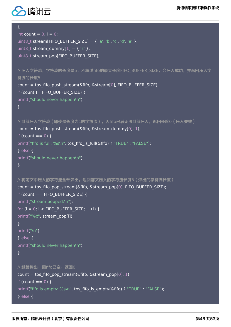

```
{
int count = 0, i = 0;
uint8 t stream[FIFO_BUFFER_SIZE] = { 'a', 'b', 'c', 'd', 'e' };
uint8 t stream dummy[1] = { 'z' };
uint8_t stream_pop[FIFO_BUFFER_SIZE];
// 压入字符流, 字符流的长度是5, 不超过fifo的最大长度FIFO BUFFER SIZE, 会压入成功, 并返回压入字
符流的长度5
count = tos_fifo_push_stream(&fifo, &stream[0], FIFO_BUFFER_SIZE);
if (count != FIFO_BUFFER_SIZE) {
printf("should never happen\n");
}
// 继续压入字符流(即使是长度为1的字符流),因fifo已满无法继续压入,返回长度0(压入失败)
count = tos fifo push stream(&fifo, &stream dummy[0], 1);
if (count == 0) {
printf("fifo is full: %s\n", tos fifo is full(&fifo) ? "TRUE" : "FALSE");
} else {
printf("should never happen\n");
}
// 将前文中压入的字符流全部弹出,返回前文压入的字符流长度5(弹出的字符流长度)
count = tos fifo pop stream(&fifo, &stream pop[0], FIFO BUFFER SIZE);
if (count == FIFO_BUFFER_SIZE) {
printf("stream popped:\n");
for (i = 0; i < FIFO_BUFFER_SIZE; ++i) {
printf("%c", stream_pop[i]);
}
printf("\n");
} else {
printf("should never happen\n");
}
// 继续弹出, 因fifo已空, 返回0
count = tos fifo pop stream(&fifo, &stream pop[0], 1);
if (count == 0) {
printf("fifo is empty: %s\n", tos_fifo_is_empty(&fifo) ? "TRUE" : "FALSE");
} else {
```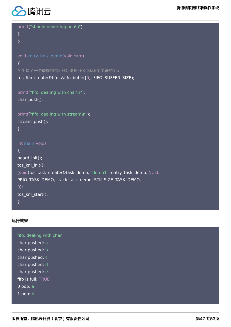

}

#### printf("should never happen\n");

```
}
void entry_task_demo(void *arg)
{
// 创建了一个最多包含FIFO_BUFFER_SIZE个字符的fifo
tos_fifo_create(&fifo, &fifo_buffer[0], FIFO_BUFFER_SIZE);
```

```
printf("fifo, dealing with char\n");
char push();
```

```
printf("fifo, dealing with stream\n");
stream_push();
```

```
}
```

```
int main(void)
```

```
{
board init();
tos knl init();
(void)tos_task_create(&task_demo, "demo1", entry_task_demo, NULL,
PRIO_TASK_DEMO, stack_task_demo, STK_SIZE_TASK_DEMO,
0); 
tos_knl_start();
}
```
#### 运行效果

fifo, dealing with char char pushed: a char pushed: b char pushed: c char pushed: d char pushed: e fifo is full: TRUE 0 pop: a 1 pop: b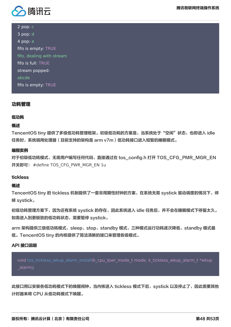

2 pop: c

3 pop: d 4 pop: e fifo is empty: TRUE fifo, dealing with stream fifo is full: TRUE stream popped: abcde fifo is empty: TRUE

#### 功耗管理

#### 低功耗

#### 概述

TencentOS tiny 提供了多级低功耗管理框架。初级低功耗的方案是,当系统处于"空闲"状态,也即进入 idle 任务时,系统调用处理器(目前支持的架构是 arm v7m )低功耗接口进入短暂的睡眠模式。

#### 编程实例

对于初级低功耗模式,无需用户编写任何代码,直接通过在 tos\_config.h 打开 TOS\_CFG\_PMR\_MGR\_EN 开关即可: #define TOS CFG PWR MGR EN 1u

#### tickless

#### 概述

TencentOS tiny 的 tickless 机制提供了一套非周期性时钟的方案, 在系统无需 systick 驱动调度的情况下, 停 掉 systick。

初级功耗管理方案下,因为还有系统 systick 的存在,因此系统进入 idle 任务后,并不会在睡眠模式下停留太久。 如需进入到更极致的低功耗状态,需要暂停 systick。

arm 架构提供三级低功耗模式,sleep、stop、standby 模式,三种模式运行功耗逐次降低,standby 模式最 低。TencentOS tiny 的内核提供了简洁清晰的接口来管理各级模式。

#### API 接口说明

void tos\_tickless\_wkup\_alarm\_install(k\_cpu\_lpwr\_mode\_t mode, k\_tickless\_wkup\_alarm\_t \*wkup \_alarm);

此接口用以安装各低功耗模式下的唤醒闹钟。当内核进入 tickless 模式下后,systick 以及停止了,因此需要其他 计时器来将 CPU 从低功耗模式下唤醒。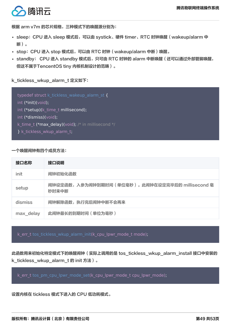

根据 arm v7m 的芯片规格,三种模式下的唤醒源分别为:

- sleep:CPU 进入 sleep 模式后,可以由 systick、硬件 timer、RTC 时钟唤醒(wakeup/alarm 中 断)。
- stop:CPU 进入 stop 模式后,可以由 RTC 时钟(wakeup/alarm 中断)唤醒。
- standby: CPU 进入 standby 模式后, 只可由 RTC 时钟的 alarm 中断唤醒 ( 还可以通过外部管脚唤醒, 但这不属于TencentOS tiny 内核机制设计的范畴)。

k tickless wkup alarm t 定义如下:

```
typedef struct k_tickless_wakeup_alarm_st {
int (*init)(void);
int (*setup)(k_time_t millisecond);
int (*dismiss)(void);
k time t (*max delay)(void); /* in millisecond */
} k_tickless_wkup_alarm_t;
```
一个唤醒闹钟有四个成员方法:

| 接口名称      | 接口说明                                                     |
|-----------|----------------------------------------------------------|
| init      | 闹钟初始化函数                                                  |
| setup     | 闹钟设定函数,入参为闹钟到期时间(单位毫秒)。此闹钟在设定完毕后的 millisecond 毫<br>秒时来中断 |
| dismiss   | 闹钟解除函数,执行完后闹钟中断不会再来                                      |
| max_delay | 此闹钟最长的到期时间(单位为毫秒)                                        |

k err t tos tickless wkup alarm init(k cpu lpwr mode t mode);

此函数用来初始化特定模式下的唤醒闹钟 (实际上调用的是 tos\_tickless\_wkup\_alarm\_install 接口中安装的 k\_tickless\_wkup\_alarm\_t 的 init 方法)。

k err t tos pm cpu lpwr mode set(k cpu lpwr mode t cpu lpwr mode);

设置内核在 tickless 模式下进入的 CPU 低功耗模式。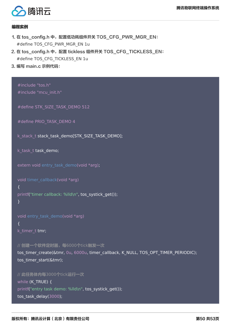

#### 编程实例

- 1. 在 tos\_config.h 中,配置低功耗组件开关 TOS\_CFG\_PWR\_MGR\_EN: #define TOS\_CFG\_PWR\_MGR\_EN 1u
- 2. 在 tos\_config.h 中, 配置 tickless 组件开关 TOS\_CFG\_TICKLESS\_EN: #define TOS\_CFG\_TICKLESS\_EN 1u
- 3. 编写 main.c 示例代码:

#include "tos.h" #include "mcu\_init.h"

#define STK\_SIZE\_TASK\_DEMO 512

```
#define PRIO TASK_DEMO 4
```
k stack t stack task demo[STK\_SIZE\_TASK\_DEMO];

```
k task t task demo;
```
extern void entry task demo(void \*arg);

void timer\_callback(void \*arg)

```
{
```
printf("timer callback: %lld\n", tos\_systick\_get());

```
}
```
void entry task demo(void \*arg) { k\_timer\_t tmr;

// 创建一个软件定时器,每6000个tick触发一次 tos\_timer\_create(&tmr, 0u, 6000u, timer\_callback, K\_NULL, TOS\_OPT\_TIMER\_PERIODIC); tos\_timer\_start(&tmr);

// 此任务体内每3000个tick运行一次 while (K\_TRUE) { printf("entry task demo: %lld\n", tos\_systick\_get()); tos task delay(3000);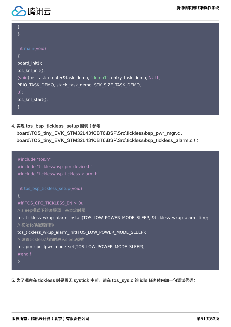

4. 实现 tos bsp\_tickless\_setup 回调 (参考 board\TOS\_tiny\_EVK\_STM32L431CBT6\BSP\Src\tickless\bsp\_pwr\_mgr.c、 board\TOS\_tiny\_EVK\_STM32L431CBT6\BSP\Src\tickless\bsp\_tickless\_alarm.c):

```
#include "tos.h"
#include "tickless/bsp_pm_device.h"
#include "tickless/bsp_tickless_alarm.h"
int tos_bsp_tickless_setup(void)
{
#if TOS_CFG_TICKLESS_EN > 0u
// sleep模式下的唤醒源,基本定时器
tos_tickless_wkup_alarm_install(TOS_LOW_POWER_MODE_SLEEP, &tickless_wkup_alarm_tim);
// 初始化唤醒源闹钟
tos_tickless_wkup_alarm_init(TOS_LOW_POWER_MODE_SLEEP);
// 设置tickless状态时进入sleep模式
tos_pm_cpu_lpwr_mode_set(TOS_LOW_POWER_MODE_SLEEP);
#endif
}
```
5. 为了观察在 tickless 时是否无 systick 中断,请在 tos\_sys.c 的 idle 任务体内加一句调试代码: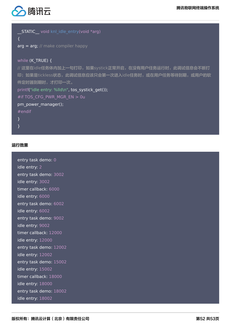

| <b>STATIC</b> void knl idle entry(void *arg)            |
|---------------------------------------------------------|
|                                                         |
| $arg = arg; \# make compiler happy$                     |
|                                                         |
| while $(K$ TRUE) $\{$                                   |
| // 这里在idle任务体内加上一句打印,如果systick正常开启,在没有用户任务运行时,此调试信息会不断打 |
| 印;如果是tickless状态,此调试信息应该只会第一次进入idle任务时,或在用户任务等待到期,或用户的软  |
| 件定时器到期时,才打印一次。                                          |
| printf("idle entry: %lld\n", tos systick get());        |
| #if TOS CFG PWR MGR EN > 0u                             |
| pm_power_manager();                                     |
| $#$ endif                                               |
| $\mathcal{F}$                                           |
|                                                         |

#### 运行效果

| entry task demo: 0     |
|------------------------|
| idle entry: 2          |
| entry task demo: 3002  |
| idle entry: 3002       |
| timer callback: 6000   |
| idle entry: 6000       |
| entry task demo: 6002  |
| idle entry: 6002       |
| entry task demo: 9002  |
| idle entry: 9002       |
| timer callback: 12000  |
| idle entry: 12000      |
| entry task demo: 12002 |
| idle entry: 12002      |
| entry task demo: 15002 |
| idle entry: 15002      |
| timer callback: 18000  |
| idle entry: 18000      |
| entry task demo: 18002 |
| idle entry: 18002      |
|                        |